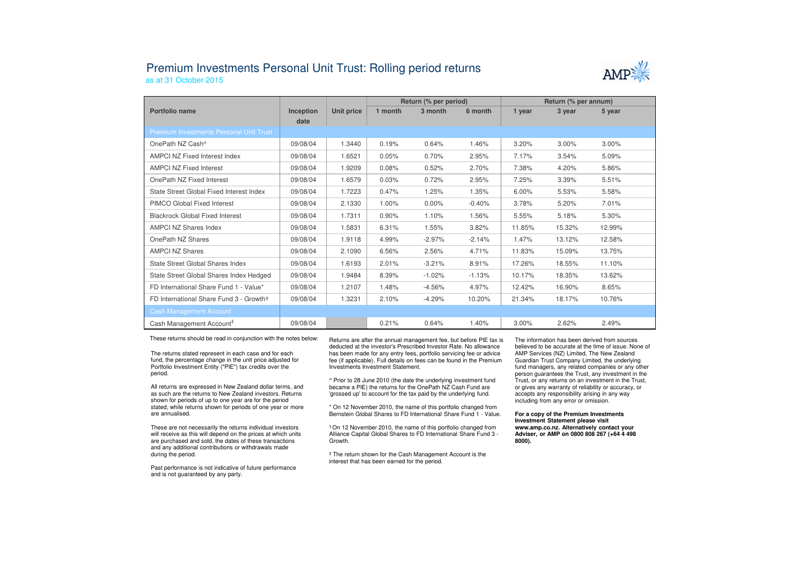## Premium Investments Personal Unit Trust: Rolling period returnsas at 31 October 2015



|                                                |           |            | Return (% per period) |          |          | Return (% per annum) |        |        |
|------------------------------------------------|-----------|------------|-----------------------|----------|----------|----------------------|--------|--------|
| Portfolio name                                 | Inception | Unit price | 1 month               | 3 month  | 6 month  | 1 year               | 3 year | 5 year |
|                                                | date      |            |                       |          |          |                      |        |        |
| <b>Premium Investments Personal Unit Trust</b> |           |            |                       |          |          |                      |        |        |
| OnePath NZ Cash <sup>^</sup>                   | 09/08/04  | 1.3440     | 0.19%                 | 0.64%    | 1.46%    | 3.20%                | 3.00%  | 3.00%  |
| <b>AMPCI NZ Fixed Interest Index</b>           | 09/08/04  | 1.6521     | 0.05%                 | 0.70%    | 2.95%    | 7.17%                | 3.54%  | 5.09%  |
| <b>AMPCI NZ Fixed Interest</b>                 | 09/08/04  | 1.9209     | 0.08%                 | 0.52%    | 2.70%    | 7.38%                | 4.20%  | 5.86%  |
| OnePath NZ Fixed Interest                      | 09/08/04  | 1.6579     | 0.03%                 | 0.72%    | 2.95%    | 7.25%                | 3.39%  | 5.51%  |
| State Street Global Fixed Interest Index       | 09/08/04  | 1.7223     | 0.47%                 | 1.25%    | 1.35%    | 6.00%                | 5.53%  | 5.58%  |
| <b>PIMCO Global Fixed Interest</b>             | 09/08/04  | 2.1330     | 1.00%                 | $0.00\%$ | $-0.40%$ | 3.78%                | 5.20%  | 7.01%  |
| <b>Blackrock Global Fixed Interest</b>         | 09/08/04  | 1.7311     | 0.90%                 | 1.10%    | 1.56%    | 5.55%                | 5.18%  | 5.30%  |
| <b>AMPCI NZ Shares Index</b>                   | 09/08/04  | 1.5831     | 6.31%                 | 1.55%    | 3.82%    | 11.85%               | 15.32% | 12.99% |
| OnePath NZ Shares                              | 09/08/04  | 1.9118     | 4.99%                 | $-2.97%$ | $-2.14%$ | 1.47%                | 13.12% | 12.58% |
| <b>AMPCI NZ Shares</b>                         | 09/08/04  | 2.1090     | 6.56%                 | 2.56%    | 4.71%    | 11.83%               | 15.09% | 13.75% |
| State Street Global Shares Index               | 09/08/04  | 1.6193     | 2.01%                 | $-3.21%$ | 8.91%    | 17.26%               | 18.55% | 11.10% |
| State Street Global Shares Index Hedged        | 09/08/04  | 1.9484     | 8.39%                 | $-1.02%$ | $-1.13%$ | 10.17%               | 18.35% | 13.62% |
| FD International Share Fund 1 - Value*         | 09/08/04  | 1.2107     | 1.48%                 | $-4.56%$ | 4.97%    | 12.42%               | 16.90% | 8.65%  |
| FD International Share Fund 3 - Growth+        | 09/08/04  | 1.3231     | 2.10%                 | $-4.29%$ | 10.20%   | 21.34%               | 18.17% | 10.76% |
| <b>Cash Management Account</b>                 |           |            |                       |          |          |                      |        |        |
| Cash Management Account <sup>#</sup>           | 09/08/04  |            | 0.21%                 | 0.64%    | 1.40%    | 3.00%                | 2.62%  | 2.49%  |

These returns should be read in conjunction with the notes below:

The returns stated represent in each case and for each fund, the percentage change in the unit price adjusted for Portfolio Investment Entity ("PIE") tax credits over the period.

All returns are expressed in New Zealand dollar terms, and as such are the returns to New Zealand investors. Returns shown for periods of up to one year are for the period stated, while returns shown for periods of one year or more are annualised.

These are not necessarily the returns individual investors will receive as this will depend on the prices at which units are purchased and sold, the dates of these transactions and any additional contributions or withdrawals made during the period.

Past performance is not indicative of future performance and is not guaranteed by any party.

 Returns are after the annual management fee, but before PIE tax is deducted at the investor's Prescribed Investor Rate. No allowance has been made for any entry fees, portfolio servicing fee or advice fee (if applicable). Full details on fees can be found in the Premium Investments Investment Statement.

^ Prior to 28 June 2010 (the date the underlying investment fund became a PIE) the returns for the OnePath NZ Cash Fund are 'grossed up' to account for the tax paid by the underlying fund.

\* On 12 November 2010, the name of this portfolio changed from Bernstein Global Shares to FD International Share Fund 1 - Value.

† On 12 November 2010, the name of this portfolio changed from Alliance Capital Global Shares to FD International Share Fund 3 -Growth.

‡ The return shown for the Cash Management Account is the interest that has been earned for the period.

The information has been derived from sources believed to be accurate at the time of issue. None of AMP Services (NZ) Limited, The New Zealand Guardian Trust Company Limited, the underlying fund managers, any related companies or any other person guarantees the Trust, any investment in the Trust, or any returns on an investment in the Trust, or gives any warranty of reliability or accuracy, or accepts any responsibility arising in any way including from any error or omission.

## **For a copy of the Premium Investments Investment Statement please visit www.amp.co.nz. Alternatively contact your Adviser, or AMP on 0800 808 267 (+64 4 498 8000).**